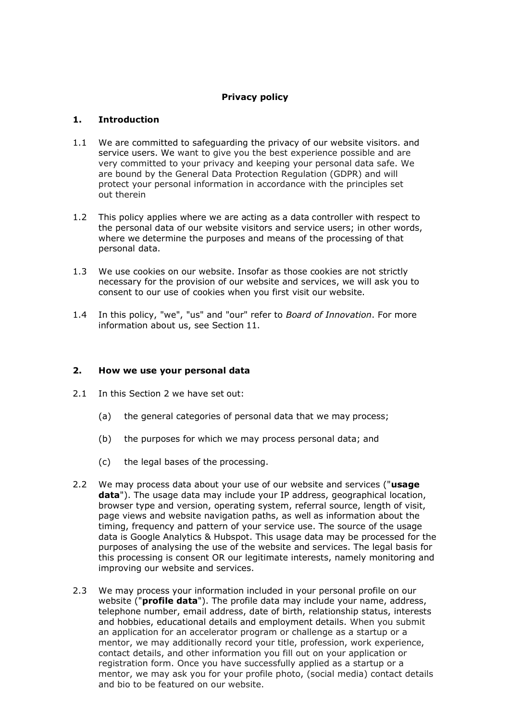# **Privacy policy**

# **1. Introduction**

- 1.1 We are committed to safeguarding the privacy of our website visitors. and service users. We want to give you the best experience possible and are very committed to your privacy and keeping your personal data safe. We are bound by the General Data Protection Regulation (GDPR) and will protect your personal information in accordance with the principles set out therein
- 1.2 This policy applies where we are acting as a data controller with respect to the personal data of our website visitors and service users; in other words, where we determine the purposes and means of the processing of that personal data.
- 1.3 We use cookies on our website. Insofar as those cookies are not strictly necessary for the provision of our website and services, we will ask you to consent to our use of cookies when you first visit our website.
- 1.4 In this policy, "we", "us" and "our" refer to *Board of Innovation*. For more information about us, see Section 11.

## **2. How we use your personal data**

- 2.1 In this Section 2 we have set out:
	- (a) the general categories of personal data that we may process;
	- (b) the purposes for which we may process personal data; and
	- (c) the legal bases of the processing.
- 2.2 We may process data about your use of our website and services ("**usage data**"). The usage data may include your IP address, geographical location, browser type and version, operating system, referral source, length of visit, page views and website navigation paths, as well as information about the timing, frequency and pattern of your service use. The source of the usage data is Google Analytics & Hubspot. This usage data may be processed for the purposes of analysing the use of the website and services. The legal basis for this processing is consent OR our legitimate interests, namely monitoring and improving our website and services.
- 2.3 We may process your information included in your personal profile on our website ("**profile data**"). The profile data may include your name, address, telephone number, email address, date of birth, relationship status, interests and hobbies, educational details and employment details. When you submit an application for an accelerator program or challenge as a startup or a mentor, we may additionally record your title, profession, work experience, contact details, and other information you fill out on your application or registration form. Once you have successfully applied as a startup or a mentor, we may ask you for your profile photo, (social media) contact details and bio to be featured on our website.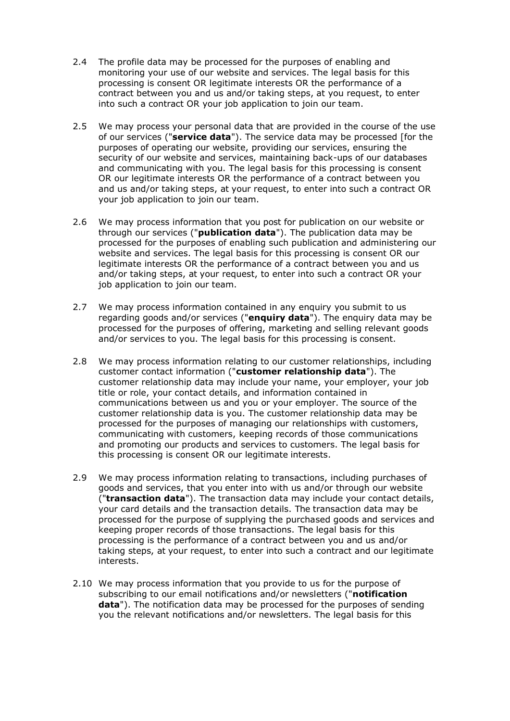- 2.4 The profile data may be processed for the purposes of enabling and monitoring your use of our website and services. The legal basis for this processing is consent OR legitimate interests OR the performance of a contract between you and us and/or taking steps, at you request, to enter into such a contract OR your job application to join our team.
- 2.5 We may process your personal data that are provided in the course of the use of our services ("**service data**"). The service data may be processed [for the purposes of operating our website, providing our services, ensuring the security of our website and services, maintaining back-ups of our databases and communicating with you. The legal basis for this processing is consent OR our legitimate interests OR the performance of a contract between you and us and/or taking steps, at your request, to enter into such a contract OR your job application to join our team.
- 2.6 We may process information that you post for publication on our website or through our services ("**publication data**"). The publication data may be processed for the purposes of enabling such publication and administering our website and services. The legal basis for this processing is consent OR our legitimate interests OR the performance of a contract between you and us and/or taking steps, at your request, to enter into such a contract OR your job application to join our team.
- 2.7 We may process information contained in any enquiry you submit to us regarding goods and/or services ("**enquiry data**"). The enquiry data may be processed for the purposes of offering, marketing and selling relevant goods and/or services to you. The legal basis for this processing is consent.
- 2.8 We may process information relating to our customer relationships, including customer contact information ("**customer relationship data**"). The customer relationship data may include your name, your employer, your job title or role, your contact details, and information contained in communications between us and you or your employer. The source of the customer relationship data is you. The customer relationship data may be processed for the purposes of managing our relationships with customers, communicating with customers, keeping records of those communications and promoting our products and services to customers. The legal basis for this processing is consent OR our legitimate interests.
- 2.9 We may process information relating to transactions, including purchases of goods and services, that you enter into with us and/or through our website ("**transaction data**"). The transaction data may include your contact details, your card details and the transaction details. The transaction data may be processed for the purpose of supplying the purchased goods and services and keeping proper records of those transactions. The legal basis for this processing is the performance of a contract between you and us and/or taking steps, at your request, to enter into such a contract and our legitimate interests.
- 2.10 We may process information that you provide to us for the purpose of subscribing to our email notifications and/or newsletters ("**notification data**"). The notification data may be processed for the purposes of sending you the relevant notifications and/or newsletters. The legal basis for this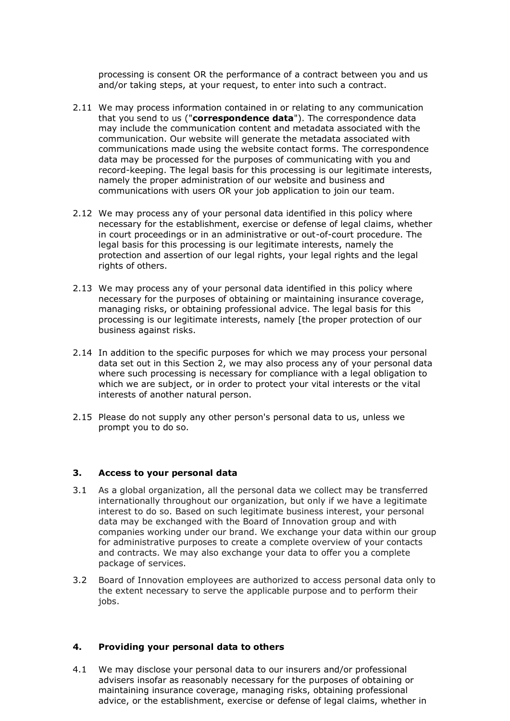processing is consent OR the performance of a contract between you and us and/or taking steps, at your request, to enter into such a contract.

- 2.11 We may process information contained in or relating to any communication that you send to us ("**correspondence data**"). The correspondence data may include the communication content and metadata associated with the communication. Our website will generate the metadata associated with communications made using the website contact forms. The correspondence data may be processed for the purposes of communicating with you and record-keeping. The legal basis for this processing is our legitimate interests, namely the proper administration of our website and business and communications with users OR your job application to join our team.
- 2.12 We may process any of your personal data identified in this policy where necessary for the establishment, exercise or defense of legal claims, whether in court proceedings or in an administrative or out-of-court procedure. The legal basis for this processing is our legitimate interests, namely the protection and assertion of our legal rights, your legal rights and the legal rights of others.
- 2.13 We may process any of your personal data identified in this policy where necessary for the purposes of obtaining or maintaining insurance coverage, managing risks, or obtaining professional advice. The legal basis for this processing is our legitimate interests, namely [the proper protection of our business against risks.
- 2.14 In addition to the specific purposes for which we may process your personal data set out in this Section 2, we may also process any of your personal data where such processing is necessary for compliance with a legal obligation to which we are subject, or in order to protect your vital interests or the vital interests of another natural person.
- 2.15 Please do not supply any other person's personal data to us, unless we prompt you to do so.

## **3. Access to your personal data**

- 3.1 As a global organization, all the personal data we collect may be transferred internationally throughout our organization, but only if we have a legitimate interest to do so. Based on such legitimate business interest, your personal data may be exchanged with the Board of Innovation group and with companies working under our brand. We exchange your data within our group for administrative purposes to create a complete overview of your contacts and contracts. We may also exchange your data to offer you a complete package of services.
- 3.2 Board of Innovation employees are authorized to access personal data only to the extent necessary to serve the applicable purpose and to perform their jobs.

#### **4. Providing your personal data to others**

4.1 We may disclose your personal data to our insurers and/or professional advisers insofar as reasonably necessary for the purposes of obtaining or maintaining insurance coverage, managing risks, obtaining professional advice, or the establishment, exercise or defense of legal claims, whether in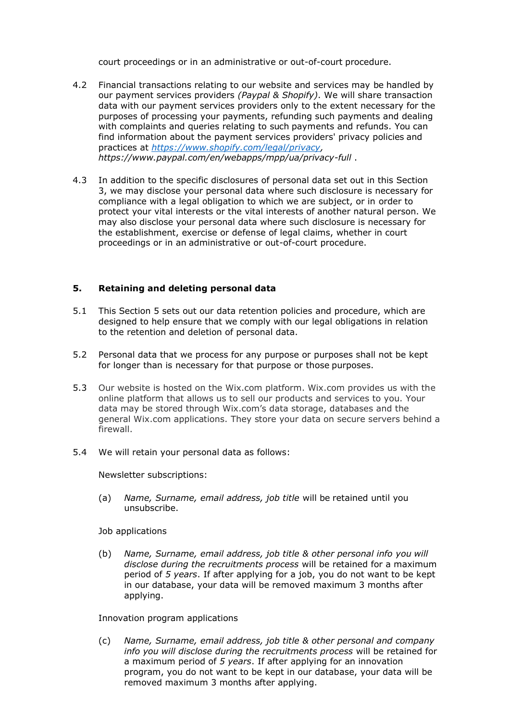court proceedings or in an administrative or out-of-court procedure.

- 4.2 Financial transactions relating to our website and services may be handled by our payment services providers *(Paypal & Shopify)*. We will share transaction data with our payment services providers only to the extent necessary for the purposes of processing your payments, refunding such payments and dealing with complaints and queries relating to such payments and refunds. You can find information about the payment services providers' privacy policies and practices at *https:/[/www.shopify.com/legal/privacy,](http://www.shopify.com/legal/privacy) https:/[/www.paypal.com/en/webapps/mpp/ua/privacy-full](http://www.paypal.com/en/webapps/mpp/ua/privacy-full)* .
- 4.3 In addition to the specific disclosures of personal data set out in this Section 3, we may disclose your personal data where such disclosure is necessary for compliance with a legal obligation to which we are subject, or in order to protect your vital interests or the vital interests of another natural person. We may also disclose your personal data where such disclosure is necessary for the establishment, exercise or defense of legal claims, whether in court proceedings or in an administrative or out-of-court procedure.

# **5. Retaining and deleting personal data**

- 5.1 This Section 5 sets out our data retention policies and procedure, which are designed to help ensure that we comply with our legal obligations in relation to the retention and deletion of personal data.
- 5.2 Personal data that we process for any purpose or purposes shall not be kept for longer than is necessary for that purpose or those purposes.
- 5.3 Our website is hosted on the Wix.com platform. Wix.com provides us with the online platform that allows us to sell our products and services to you. Your data may be stored through Wix.com's data storage, databases and the general Wix.com applications. They store your data on secure servers behind a firewall.
- 5.4 We will retain your personal data as follows:

Newsletter subscriptions:

(a) *Name, Surname, email address, job title* will be retained until you unsubscribe.

## Job applications

(b) *Name, Surname, email address, job title & other personal info you will disclose during the recruitments process* will be retained for a maximum period of *5 years*. If after applying for a job, you do not want to be kept in our database, your data will be removed maximum 3 months after applying.

## Innovation program applications

(c) *Name, Surname, email address, job title & other personal and company info you will disclose during the recruitments process* will be retained for a maximum period of *5 years*. If after applying for an innovation program, you do not want to be kept in our database, your data will be removed maximum 3 months after applying.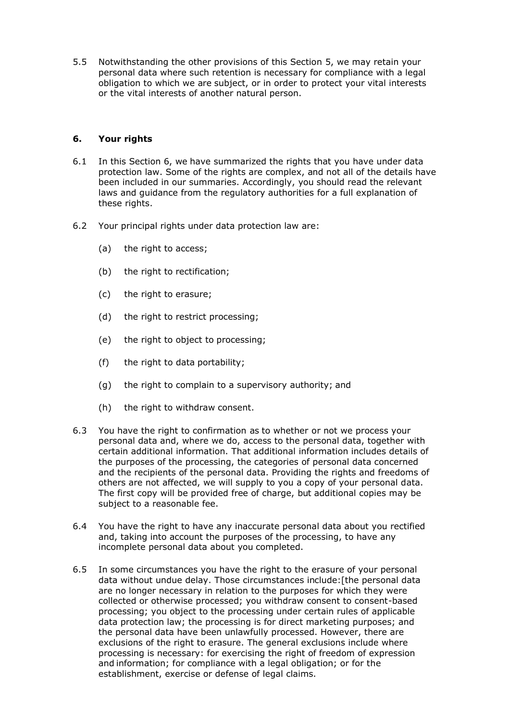5.5 Notwithstanding the other provisions of this Section 5, we may retain your personal data where such retention is necessary for compliance with a legal obligation to which we are subject, or in order to protect your vital interests or the vital interests of another natural person.

# **6. Your rights**

- 6.1 In this Section 6, we have summarized the rights that you have under data protection law. Some of the rights are complex, and not all of the details have been included in our summaries. Accordingly, you should read the relevant laws and guidance from the regulatory authorities for a full explanation of these rights.
- 6.2 Your principal rights under data protection law are:
	- (a) the right to access;
	- (b) the right to rectification;
	- (c) the right to erasure;
	- (d) the right to restrict processing;
	- (e) the right to object to processing;
	- (f) the right to data portability;
	- (g) the right to complain to a supervisory authority; and
	- (h) the right to withdraw consent.
- 6.3 You have the right to confirmation as to whether or not we process your personal data and, where we do, access to the personal data, together with certain additional information. That additional information includes details of the purposes of the processing, the categories of personal data concerned and the recipients of the personal data. Providing the rights and freedoms of others are not affected, we will supply to you a copy of your personal data. The first copy will be provided free of charge, but additional copies may be subject to a reasonable fee.
- 6.4 You have the right to have any inaccurate personal data about you rectified and, taking into account the purposes of the processing, to have any incomplete personal data about you completed.
- 6.5 In some circumstances you have the right to the erasure of your personal data without undue delay. Those circumstances include:[the personal data are no longer necessary in relation to the purposes for which they were collected or otherwise processed; you withdraw consent to consent-based processing; you object to the processing under certain rules of applicable data protection law; the processing is for direct marketing purposes; and the personal data have been unlawfully processed. However, there are exclusions of the right to erasure. The general exclusions include where processing is necessary: for exercising the right of freedom of expression and information; for compliance with a legal obligation; or for the establishment, exercise or defense of legal claims.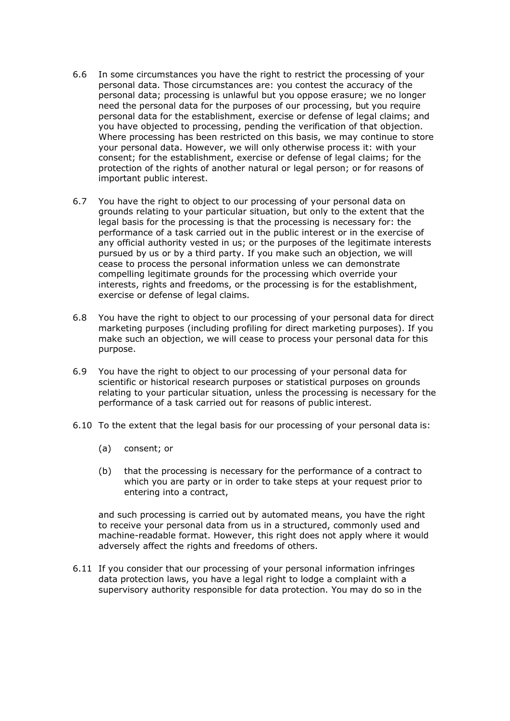- 6.6 In some circumstances you have the right to restrict the processing of your personal data. Those circumstances are: you contest the accuracy of the personal data; processing is unlawful but you oppose erasure; we no longer need the personal data for the purposes of our processing, but you require personal data for the establishment, exercise or defense of legal claims; and you have objected to processing, pending the verification of that objection. Where processing has been restricted on this basis, we may continue to store your personal data. However, we will only otherwise process it: with your consent; for the establishment, exercise or defense of legal claims; for the protection of the rights of another natural or legal person; or for reasons of important public interest.
- 6.7 You have the right to object to our processing of your personal data on grounds relating to your particular situation, but only to the extent that the legal basis for the processing is that the processing is necessary for: the performance of a task carried out in the public interest or in the exercise of any official authority vested in us; or the purposes of the legitimate interests pursued by us or by a third party. If you make such an objection, we will cease to process the personal information unless we can demonstrate compelling legitimate grounds for the processing which override your interests, rights and freedoms, or the processing is for the establishment, exercise or defense of legal claims.
- 6.8 You have the right to object to our processing of your personal data for direct marketing purposes (including profiling for direct marketing purposes). If you make such an objection, we will cease to process your personal data for this purpose.
- 6.9 You have the right to object to our processing of your personal data for scientific or historical research purposes or statistical purposes on grounds relating to your particular situation, unless the processing is necessary for the performance of a task carried out for reasons of public interest.
- 6.10 To the extent that the legal basis for our processing of your personal data is:
	- (a) consent; or
	- (b) that the processing is necessary for the performance of a contract to which you are party or in order to take steps at your request prior to entering into a contract,

and such processing is carried out by automated means, you have the right to receive your personal data from us in a structured, commonly used and machine-readable format. However, this right does not apply where it would adversely affect the rights and freedoms of others.

6.11 If you consider that our processing of your personal information infringes data protection laws, you have a legal right to lodge a complaint with a supervisory authority responsible for data protection. You may do so in the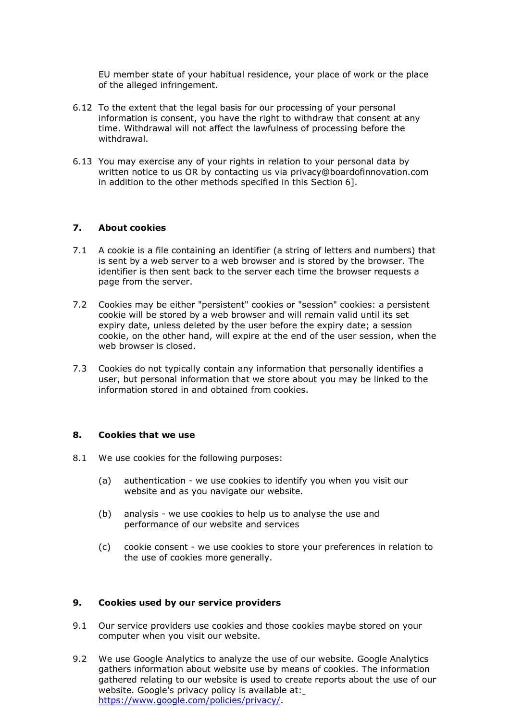EU member state of your habitual residence, your place of work or the place of the alleged infringement.

- 6.12 To the extent that the legal basis for our processing of your personal information is consent, you have the right to withdraw that consent at any time. Withdrawal will not affect the lawfulness of processing before the withdrawal.
- 6.13 You may exercise any of your rights in relation to your personal data by written notice to us OR by contacting us via [privacy@boardofinnovation.com](mailto:privacy@boardofinnovation.com) in addition to the other methods specified in this Section 6].

#### **7. About cookies**

- 7.1 A cookie is a file containing an identifier (a string of letters and numbers) that is sent by a web server to a web browser and is stored by the browser. The identifier is then sent back to the server each time the browser requests a page from the server.
- 7.2 Cookies may be either "persistent" cookies or "session" cookies: a persistent cookie will be stored by a web browser and will remain valid until its set expiry date, unless deleted by the user before the expiry date; a session cookie, on the other hand, will expire at the end of the user session, when the web browser is closed.
- 7.3 Cookies do not typically contain any information that personally identifies a user, but personal information that we store about you may be linked to the information stored in and obtained from cookies.

#### **8. Cookies that we use**

- 8.1 We use cookies for the following purposes:
	- (a) authentication we use cookies to identify you when you visit our website and as you navigate our website.
	- (b) analysis we use cookies to help us to analyse the use and performance of our website and services
	- (c) cookie consent we use cookies to store your preferences in relation to the use of cookies more generally.

#### **9. Cookies used by our service providers**

- 9.1 Our service providers use cookies and those cookies maybe stored on your computer when you visit our website.
- 9.2 We use Google Analytics to analyze the use of our website. Google Analytics gathers information about website use by means of cookies. The information gathered relating to our website is used to create reports about the use of our website. Google's privacy policy is available at: https:/[/www.google.com/policies/privacy/.](http://www.google.com/policies/privacy/)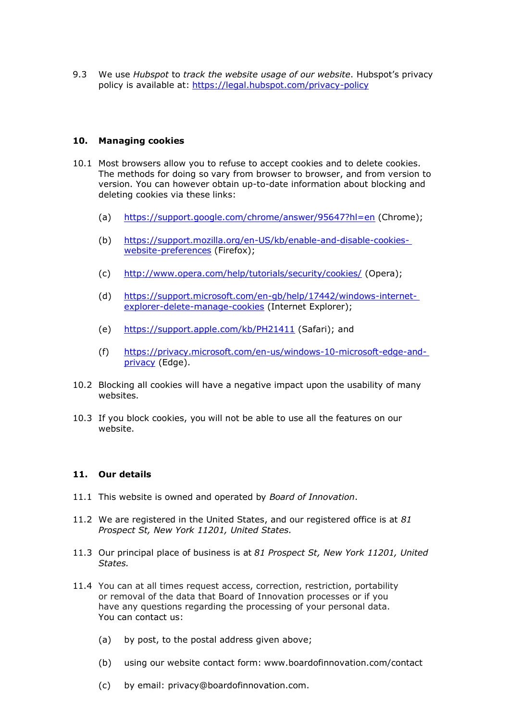9.3 We use *Hubspot* to *track the website usage of our website*. Hubspot's privacy policy is available at: <https://legal.hubspot.com/privacy-policy>

### **10. Managing cookies**

- 10.1 Most browsers allow you to refuse to accept cookies and to delete cookies. The methods for doing so vary from browser to browser, and from version to version. You can however obtain up-to-date information about blocking and deleting cookies via these links:
	- (a) https://support.google.com/chrome/answer/95647?hl=en (Chrome);
	- (b) https://support.mozilla.org/en-US/kb/enable-and-disable-cookieswebsite-preferences (Firefox);
	- (c) <http://www.opera.com/help/tutorials/security/cookies/> (Opera);
	- (d) https://support.microsoft.com/en-gb/help/17442/windows-internetexplorer-delete-manage-cookies (Internet Explorer);
	- (e) https://support.apple.com/kb/PH21411 (Safari); and
	- (f) https://privacy.microsoft.com/en-us/windows-10-microsoft-edge-andprivacy (Edge).
- 10.2 Blocking all cookies will have a negative impact upon the usability of many websites.
- 10.3 If you block cookies, you will not be able to use all the features on our website.

#### **11. Our details**

- 11.1 This website is owned and operated by *Board of Innovation*.
- 11.2 We are registered in the United States, and our registered office is at *81 Prospect St, New York 11201, United States.*
- 11.3 Our principal place of business is at *81 Prospect St, New York 11201, United States.*
- 11.4 You can at all times request access, correction, restriction, portability or removal of the data that Board of Innovation processes or if you have any questions regarding the processing of your personal data. You can contact us:
	- (a) by post, to the postal address given above;
	- (b) using our website contact form: [www.boardofinnovation.com/contact](http://www.boardofinnovation.com/contact)
	- (c) by email: [privacy@boardofinnovation.com.](mailto:privacy@boardofinnovation.com)